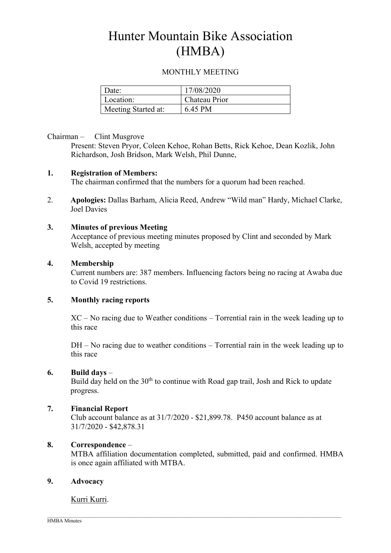# Hunter Mountain Bike Association (HMBA)

# MONTHLY MEETING

| Date:               | 17/08/2020    |
|---------------------|---------------|
| Location:           | Chateau Prior |
| Meeting Started at: | 6.45 PM       |

## Chairman – Clint Musgrove

Present: Steven Pryor, Coleen Kehoe, Rohan Betts, Rick Kehoe, Dean Kozlik, John Richardson, Josh Bridson, Mark Welsh, Phil Dunne,

## 1. Registration of Members:

The chairman confirmed that the numbers for a quorum had been reached.

2. Apologies: Dallas Barham, Alicia Reed, Andrew "Wild man" Hardy, Michael Clarke, Joel Davies

## 3. Minutes of previous Meeting

Acceptance of previous meeting minutes proposed by Clint and seconded by Mark Welsh, accepted by meeting

## 4. Membership

Current numbers are: 387 members. Influencing factors being no racing at Awaba due to Covid 19 restrictions.

## 5. Monthly racing reports

XC – No racing due to Weather conditions – Torrential rain in the week leading up to this race

DH – No racing due to weather conditions – Torrential rain in the week leading up to this race

#### 6. Build days –

Build day held on the  $30<sup>th</sup>$  to continue with Road gap trail, Josh and Rick to update progress.

# 7. Financial Report

Club account balance as at 31/7/2020 - \$21,899.78. P450 account balance as at 31/7/2020 - \$42,878.31

## 8. Correspondence –

MTBA affiliation documentation completed, submitted, paid and confirmed. HMBA is once again affiliated with MTBA.

#### 9. Advocacy

# Kurri Kurri.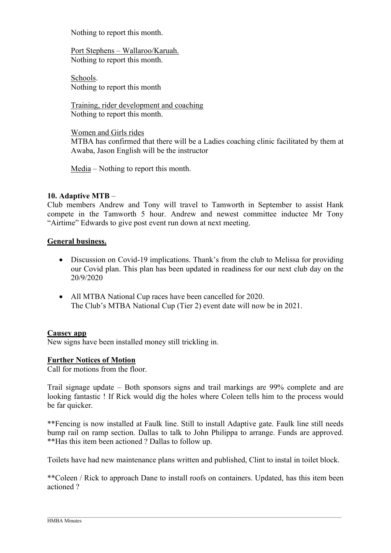Nothing to report this month.

Port Stephens – Wallaroo/Karuah. Nothing to report this month.

Schools. Nothing to report this month

Training, rider development and coaching Nothing to report this month.

Women and Girls rides

MTBA has confirmed that there will be a Ladies coaching clinic facilitated by them at Awaba, Jason English will be the instructor

Media – Nothing to report this month.

# 10. Adaptive MTB –

Club members Andrew and Tony will travel to Tamworth in September to assist Hank compete in the Tamworth 5 hour. Andrew and newest committee inductee Mr Tony "Airtime" Edwards to give post event run down at next meeting.

## General business.

- Discussion on Covid-19 implications. Thank's from the club to Melissa for providing our Covid plan. This plan has been updated in readiness for our next club day on the 20/9/2020
- All MTBA National Cup races have been cancelled for 2020. The Club's MTBA National Cup (Tier 2) event date will now be in 2021.

#### Causey app

New signs have been installed money still trickling in.

#### Further Notices of Motion

Call for motions from the floor.

Trail signage update – Both sponsors signs and trail markings are 99% complete and are looking fantastic ! If Rick would dig the holes where Coleen tells him to the process would be far quicker.

\*\*Fencing is now installed at Faulk line. Still to install Adaptive gate. Faulk line still needs bump rail on ramp section. Dallas to talk to John Philippa to arrange. Funds are approved. \*\*Has this item been actioned ? Dallas to follow up.

Toilets have had new maintenance plans written and published, Clint to instal in toilet block.

\*\*Coleen / Rick to approach Dane to install roofs on containers. Updated, has this item been actioned ?